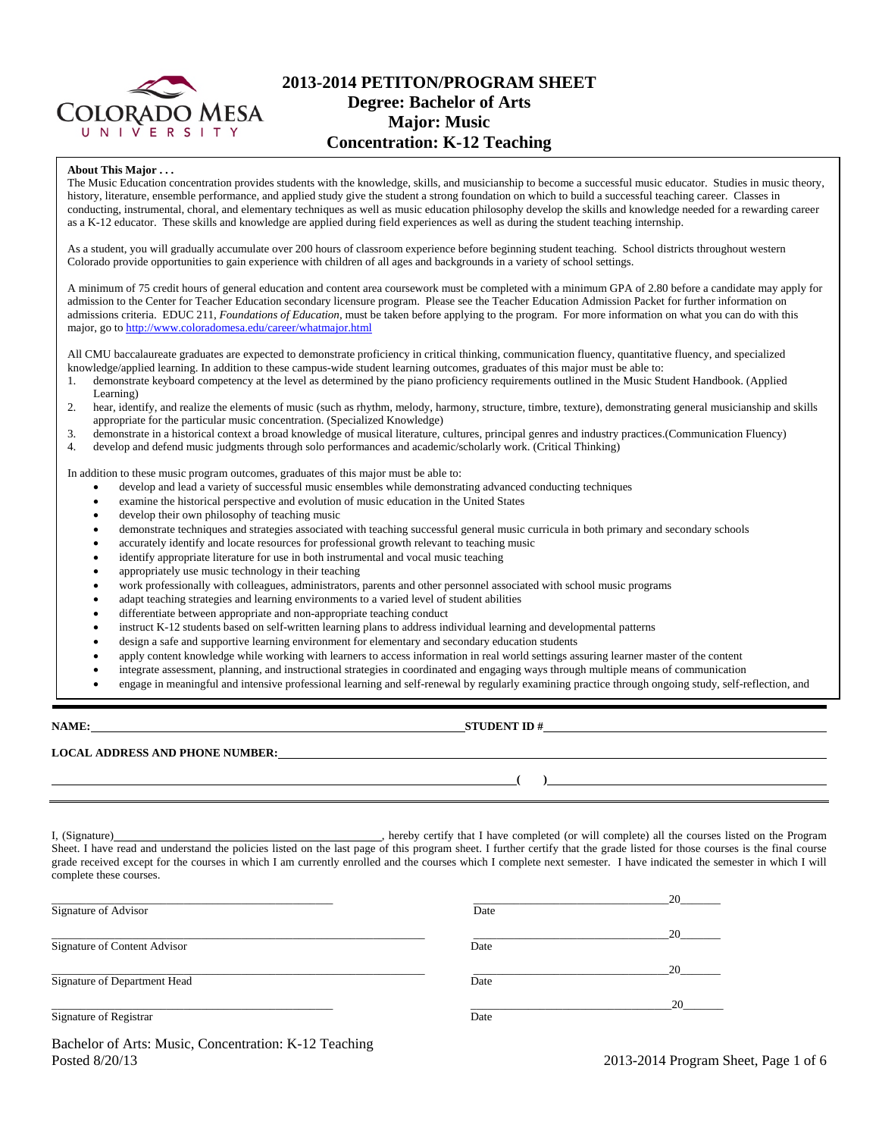

# **2013-2014 PETITON/PROGRAM SHEET Degree: Bachelor of Arts Major: Music Concentration: K-12 Teaching**

#### **About This Major . . .**

The Music Education concentration provides students with the knowledge, skills, and musicianship to become a successful music educator. Studies in music theory, history, literature, ensemble performance, and applied study give the student a strong foundation on which to build a successful teaching career. Classes in conducting, instrumental, choral, and elementary techniques as well as music education philosophy develop the skills and knowledge needed for a rewarding career as a K-12 educator. These skills and knowledge are applied during field experiences as well as during the student teaching internship.

As a student, you will gradually accumulate over 200 hours of classroom experience before beginning student teaching. School districts throughout western Colorado provide opportunities to gain experience with children of all ages and backgrounds in a variety of school settings.

A minimum of 75 credit hours of general education and content area coursework must be completed with a minimum GPA of 2.80 before a candidate may apply for admission to the Center for Teacher Education secondary licensure program. Please see the Teacher Education Admission Packet for further information on admissions criteria. EDUC 211, *Foundations of Education*, must be taken before applying to the program. For more information on what you can do with this major, go to http://www.coloradomesa.edu/career/whatmajor.html

All CMU baccalaureate graduates are expected to demonstrate proficiency in critical thinking, communication fluency, quantitative fluency, and specialized knowledge/applied learning. In addition to these campus-wide student learning outcomes, graduates of this major must be able to:

- 1. demonstrate keyboard competency at the level as determined by the piano proficiency requirements outlined in the Music Student Handbook. (Applied Learning)
- 2. hear, identify, and realize the elements of music (such as rhythm, melody, harmony, structure, timbre, texture), demonstrating general musicianship and skills appropriate for the particular music concentration. (Specialized Knowledge)
- 3. demonstrate in a historical context a broad knowledge of musical literature, cultures, principal genres and industry practices.(Communication Fluency)
- 4. develop and defend music judgments through solo performances and academic/scholarly work. (Critical Thinking)

In addition to these music program outcomes, graduates of this major must be able to:

- develop and lead a variety of successful music ensembles while demonstrating advanced conducting techniques
- examine the historical perspective and evolution of music education in the United States
- develop their own philosophy of teaching music
- demonstrate techniques and strategies associated with teaching successful general music curricula in both primary and secondary schools
- accurately identify and locate resources for professional growth relevant to teaching music
- identify appropriate literature for use in both instrumental and vocal music teaching
- appropriately use music technology in their teaching
- work professionally with colleagues, administrators, parents and other personnel associated with school music programs
- adapt teaching strategies and learning environments to a varied level of student abilities
- differentiate between appropriate and non-appropriate teaching conduct
- instruct K-12 students based on self-written learning plans to address individual learning and developmental patterns
- design a safe and supportive learning environment for elementary and secondary education students
- apply content knowledge while working with learners to access information in real world settings assuring learner master of the content
- integrate assessment, planning, and instructional strategies in coordinated and engaging ways through multiple means of communication
- engage in meaningful and intensive professional learning and self-renewal by regularly examining practice through ongoing study, self-reflection, and

### **NAME: STUDENT ID #**

**( )**

**LOCAL ADDRESS AND PHONE NUMBER:**

I, (Signature) , hereby certify that I have completed (or will complete) all the courses listed on the Program Sheet. I have read and understand the policies listed on the last page of this program sheet. I further certify that the grade listed for those courses is the final course grade received except for the courses in which I am currently enrolled and the courses which I complete next semester. I have indicated the semester in which I will complete these courses.

|                                                         |      | 20 |
|---------------------------------------------------------|------|----|
| Signature of Advisor                                    | Date |    |
|                                                         |      | 20 |
| Signature of Content Advisor                            | Date |    |
|                                                         |      | 20 |
| Signature of Department Head                            | Date |    |
|                                                         |      | 20 |
| Signature of Registrar                                  | Date |    |
| Becheler of Arte: Music, Concentration: $K$ 12 Teaching |      |    |

Bachelor of Arts: Music, Concentration: K-12 Teaching Posted 8/20/13 2013-2014 Program Sheet, Page 1 of 6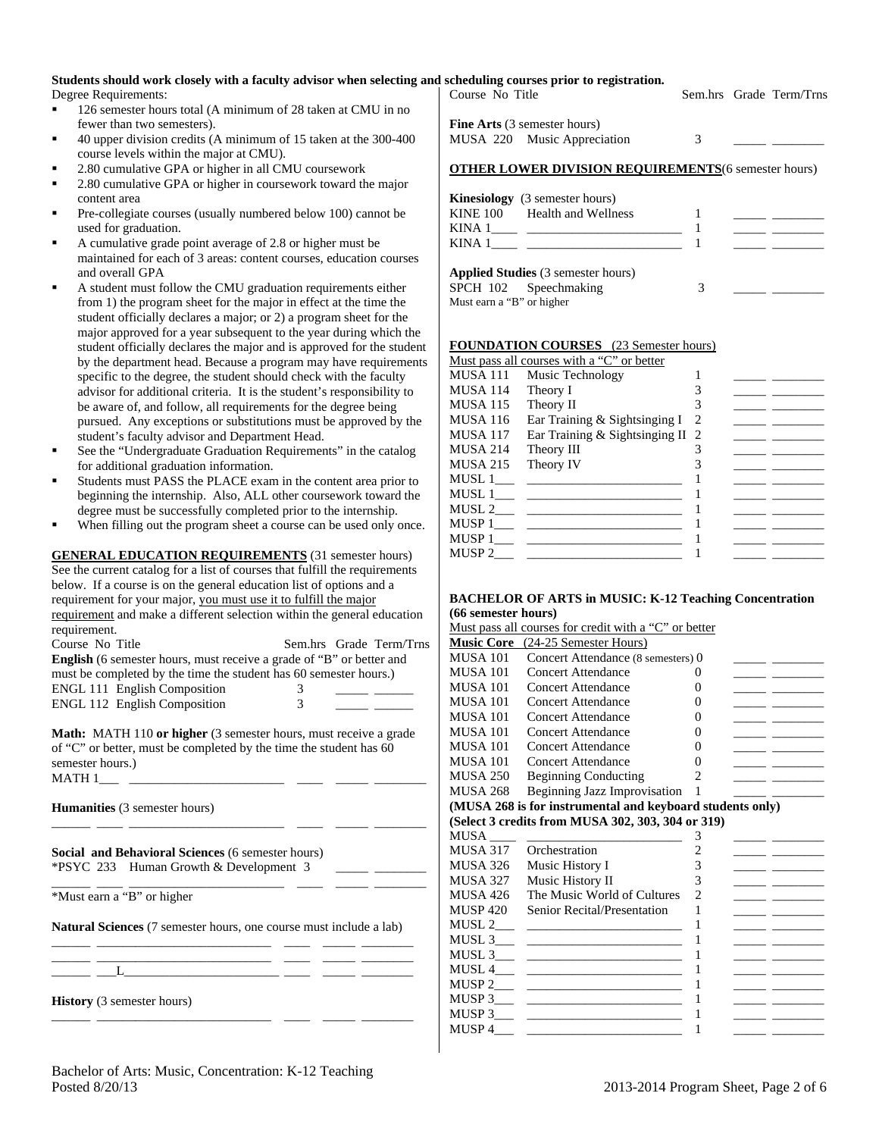# **Students should work closely with a faculty advisor when selecting and scheduling courses prior to registration.**

Degree Requirements:

- 126 semester hours total (A minimum of 28 taken at CMU in no fewer than two semesters).
- 40 upper division credits (A minimum of 15 taken at the 300-400 course levels within the major at CMU).
- 2.80 cumulative GPA or higher in all CMU coursework
- 2.80 cumulative GPA or higher in coursework toward the major content area
- Pre-collegiate courses (usually numbered below 100) cannot be used for graduation.
- A cumulative grade point average of 2.8 or higher must be maintained for each of 3 areas: content courses, education courses and overall GPA
- A student must follow the CMU graduation requirements either from 1) the program sheet for the major in effect at the time the student officially declares a major; or 2) a program sheet for the major approved for a year subsequent to the year during which the student officially declares the major and is approved for the student by the department head. Because a program may have requirements specific to the degree, the student should check with the faculty advisor for additional criteria. It is the student's responsibility to be aware of, and follow, all requirements for the degree being pursued. Any exceptions or substitutions must be approved by the student's faculty advisor and Department Head.
- See the "Undergraduate Graduation Requirements" in the catalog for additional graduation information.
- Students must PASS the PLACE exam in the content area prior to beginning the internship. Also, ALL other coursework toward the degree must be successfully completed prior to the internship.
- When filling out the program sheet a course can be used only once.

**GENERAL EDUCATION REQUIREMENTS** (31 semester hours) See the current catalog for a list of courses that fulfill the requirements below. If a course is on the general education list of options and a requirement for your major, you must use it to fulfill the major requirement and make a different selection within the general education requirement.

| Course No Title                                                             |          | Sem.hrs Grade Term/Trns |
|-----------------------------------------------------------------------------|----------|-------------------------|
| <b>English</b> (6 semester hours, must receive a grade of "B" or better and |          |                         |
| must be completed by the time the student has 60 semester hours.)           |          |                         |
| <b>ENGL 111 English Composition</b>                                         | $\Delta$ |                         |
| <b>ENGL 112 English Composition</b>                                         | 3        |                         |

**Math:** MATH 110 **or higher** (3 semester hours, must receive a grade of "C" or better, must be completed by the time the student has 60 semester hours.)  $MATH 1$ <sub>\_\_\_\_\_</sub>\_\_

\_\_\_\_\_\_ \_\_\_\_ \_\_\_\_\_\_\_\_\_\_\_\_\_\_\_\_\_\_\_\_\_\_\_\_ \_\_\_\_ \_\_\_\_\_ \_\_\_\_\_\_\_\_

\_\_\_\_\_\_ \_\_\_\_ \_\_\_\_\_\_\_\_\_\_\_\_\_\_\_\_\_\_\_\_\_\_\_\_ \_\_\_\_ \_\_\_\_\_ \_\_\_\_\_\_\_\_

**Humanities** (3 semester hours)

**Social and Behavioral Sciences** (6 semester hours) \*PSYC 233 Human Growth & Development 3 \_\_\_\_\_ \_\_\_\_\_\_\_\_

\*Must earn a "B" or higher

**Natural Sciences** (7 semester hours, one course must include a lab) \_\_\_\_\_\_ \_\_\_\_\_\_\_\_\_\_\_\_\_\_\_\_\_\_\_\_\_\_\_\_\_\_\_ \_\_\_\_ \_\_\_\_\_ \_\_\_\_\_\_\_\_

\_\_\_\_\_\_ \_\_\_\_\_\_\_\_\_\_\_\_\_\_\_\_\_\_\_\_\_\_\_\_\_\_\_ \_\_\_\_ \_\_\_\_\_ \_\_\_\_\_\_\_\_ \_\_\_\_\_\_ \_\_\_L\_\_\_\_\_\_\_\_\_\_\_\_\_\_\_\_\_\_\_\_\_\_\_\_ \_\_\_\_ \_\_\_\_\_ \_\_\_\_\_\_\_\_

\_\_\_\_\_\_ \_\_\_\_\_\_\_\_\_\_\_\_\_\_\_\_\_\_\_\_\_\_\_\_\_\_\_ \_\_\_\_ \_\_\_\_\_ \_\_\_\_\_\_\_\_

**History** (3 semester hours)

| schedunng courses prior to registration.<br>Course No Title        |   | Sem.hrs Grade Term/Trns |
|--------------------------------------------------------------------|---|-------------------------|
| <b>Fine Arts</b> (3 semester hours)<br>MUSA 220 Music Appreciation | 3 |                         |

| <b>Kinesiology</b> (3 semester hours) |  |
|---------------------------------------|--|
| KINE 100 Health and Wellness          |  |
|                                       |  |
|                                       |  |
| Applied Studies (2 semester bours)    |  |

**OTHER LOWER DIVISION REQUIREMENTS**(6 semester hours)

|                           | <b>Applied Studies</b> (3 semester hours) |  |  |
|---------------------------|-------------------------------------------|--|--|
|                           | SPCH 102 Speechmaking                     |  |  |
| Must earn a "B" or higher |                                           |  |  |

### **FOUNDATION COURSES** (23 Semester hours)

|          | Must pass all courses with a "C" or better |   |  |
|----------|--------------------------------------------|---|--|
| MUSA 111 | Music Technology                           |   |  |
| MUSA 114 | Theory I                                   |   |  |
| MUSA 115 | Theory II                                  |   |  |
| MUSA 116 | Ear Training & Sightsinging I              | 2 |  |
| MUSA 117 | Ear Training & Sightsinging II 2           |   |  |
| MUSA 214 | Theory III                                 |   |  |
| MUSA 215 | Theory IV                                  |   |  |
| MUSL 1   |                                            |   |  |
| MUSL 1   |                                            |   |  |
| MUSL 2   |                                            |   |  |
| MUSP 1   |                                            |   |  |
| MUSP 1   |                                            |   |  |
| MUSP 2   |                                            |   |  |
|          |                                            |   |  |

#### **BACHELOR OF ARTS in MUSIC: K-12 Teaching Concentration (66 semester hours)**   $\mathcal{L}_{\text{max}}$  pass  $\mathcal{L}_{\text{max}}$  and  $\mathcal{L}_{\text{max}}$  or  $\mathcal{L}_{\text{max}}$

|                 | $\mu$ is pass an courses for credit with a $\sim$ or better |                |                                              |
|-----------------|-------------------------------------------------------------|----------------|----------------------------------------------|
|                 | <b>Music Core</b> (24-25 Semester Hours)                    |                |                                              |
| <b>MUSA 101</b> | Concert Attendance (8 semesters) 0                          |                |                                              |
| <b>MUSA 101</b> | <b>Concert Attendance</b>                                   | 0              |                                              |
| <b>MUSA 101</b> | <b>Concert Attendance</b>                                   | 0              |                                              |
| <b>MUSA 101</b> | <b>Concert Attendance</b>                                   | 0              |                                              |
| <b>MUSA 101</b> | <b>Concert Attendance</b>                                   | 0              |                                              |
| <b>MUSA 101</b> | <b>Concert Attendance</b>                                   | 0              |                                              |
| <b>MUSA 101</b> | <b>Concert Attendance</b>                                   | 0              |                                              |
| <b>MUSA 101</b> | <b>Concert Attendance</b>                                   | 0              |                                              |
| <b>MUSA 250</b> | <b>Beginning Conducting</b>                                 | $\overline{2}$ |                                              |
| <b>MUSA 268</b> | <b>Beginning Jazz Improvisation</b>                         | 1              | <u> 1989 - Johann Barnett, fransk kongre</u> |
|                 | (MUSA 268 is for instrumental and keyboard students only)   |                |                                              |
|                 | (Select 3 credits from MUSA 302, 303, 304 or 319)           |                |                                              |
|                 |                                                             |                |                                              |
| <b>MUSA</b>     |                                                             | 3              |                                              |
| MUSA 317        | Orchestration                                               | 2              |                                              |
| MUSA 326        | Music History I                                             | 3              |                                              |
| <b>MUSA 327</b> | Music History II                                            | 3              |                                              |
| MUSA 426        | The Music World of Cultures                                 | $\mathcal{D}$  |                                              |
| <b>MUSP 420</b> | Senior Recital/Presentation                                 | 1              |                                              |
| MUSL 2          | <u>production of the contract of the contract of</u>        |                |                                              |
|                 |                                                             | 1              |                                              |
|                 |                                                             | 1              |                                              |
|                 |                                                             | 1              |                                              |
|                 |                                                             | 1              |                                              |
|                 |                                                             | 1              |                                              |
|                 |                                                             | 1              |                                              |
| MUSP 4          |                                                             | 1              |                                              |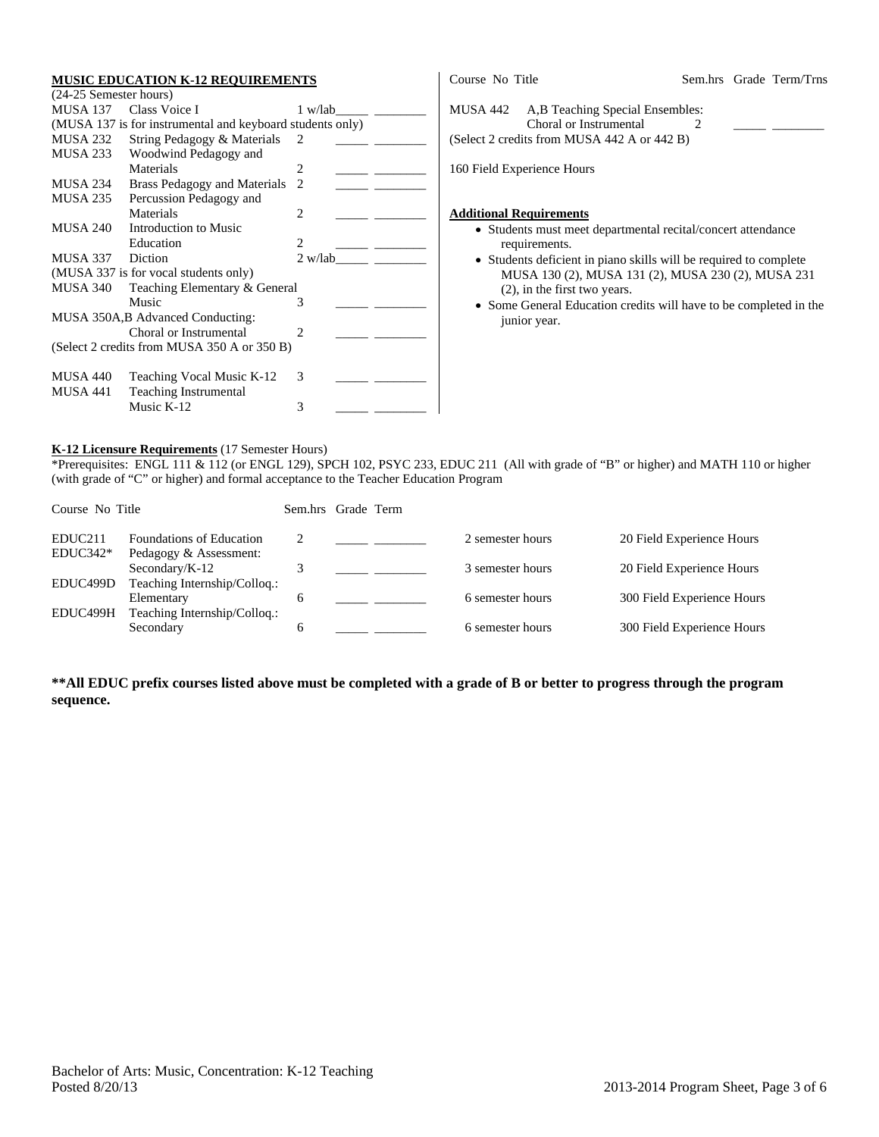#### **MUSIC EDUCATION K-12 REQUIREMENTS**

| (24-25 Semester hours) |                                                           |                |         |  |
|------------------------|-----------------------------------------------------------|----------------|---------|--|
|                        | MUSA 137 Class Voice I                                    | 1 w/lab        |         |  |
|                        | (MUSA 137 is for instrumental and keyboard students only) |                |         |  |
| MUSA 232               | String Pedagogy & Materials                               | $\mathcal{L}$  |         |  |
| MUSA 233               | Woodwind Pedagogy and                                     |                |         |  |
|                        | Materials                                                 | 2              |         |  |
| MUSA 234               | Brass Pedagogy and Materials                              | $\mathfrak{D}$ |         |  |
| MUSA 235               | Percussion Pedagogy and                                   |                |         |  |
|                        | Materials                                                 | 2              |         |  |
| MUSA 240               | Introduction to Music                                     |                |         |  |
|                        | Education                                                 | $\mathfrak{D}$ |         |  |
| MUSA 337 Diction       |                                                           |                | 2 w/lab |  |
|                        | (MUSA 337 is for vocal students only)                     |                |         |  |
| <b>MUSA 340</b>        | Teaching Elementary & General                             |                |         |  |
|                        | Music                                                     | 3              |         |  |
|                        | MUSA 350A, B Advanced Conducting:                         |                |         |  |
|                        | Choral or Instrumental                                    | 2              |         |  |
|                        | (Select 2 credits from MUSA 350 A or 350 B)               |                |         |  |
|                        |                                                           |                |         |  |
| MUSA 440               | Teaching Vocal Music K-12                                 | 3              |         |  |
| <b>MUSA 441</b>        | <b>Teaching Instrumental</b>                              |                |         |  |
|                        | Music K-12                                                | 3              |         |  |

| Course No Title                                                                                                                      |  | Sem.hrs Grade Term/Trns |
|--------------------------------------------------------------------------------------------------------------------------------------|--|-------------------------|
| MUSA 442<br>A, B Teaching Special Ensembles:<br>Choral or Instrumental<br>(Select 2 credits from MUSA 442 A or 442 B)                |  |                         |
| 160 Field Experience Hours                                                                                                           |  |                         |
| <b>Additional Requirements</b><br>• Students must meet departmental recital/concert attendance<br>requirements.                      |  |                         |
| • Students deficient in piano skills will be required to complete<br>1 5330 L 100 (0) 1 5330 L 101 (0) 1 5330 L 000 (0) 1 5330 L 001 |  |                         |

- MUSA 130 (2), MUSA 131 (2), MUSA 230 (2), MUSA 231 (2), in the first two years.
- Some General Education credits will have to be completed in the junior year.

### **K-12 Licensure Requirements** (17 Semester Hours)

\*Prerequisites: ENGL 111 & 112 (or ENGL 129), SPCH 102, PSYC 233, EDUC 211 (All with grade of "B" or higher) and MATH 110 or higher (with grade of "C" or higher) and formal acceptance to the Teacher Education Program

| Course No Title     |                                             |   | Sem.hrs Grade Term |                  |                            |
|---------------------|---------------------------------------------|---|--------------------|------------------|----------------------------|
| EDUC <sub>211</sub> | <b>Foundations of Education</b>             |   |                    | 2 semester hours | 20 Field Experience Hours  |
| $EDUC342*$          | Pedagogy & Assessment:<br>Secondary/ $K-12$ |   |                    | 3 semester hours | 20 Field Experience Hours  |
| EDUC499D            | Teaching Internship/Colloq.:<br>Elementary  | 6 |                    | 6 semester hours | 300 Field Experience Hours |
| EDUC499H            | Teaching Internship/Colloq.:<br>Secondary   | 6 |                    | 6 semester hours | 300 Field Experience Hours |

**\*\*All EDUC prefix courses listed above must be completed with a grade of B or better to progress through the program sequence.**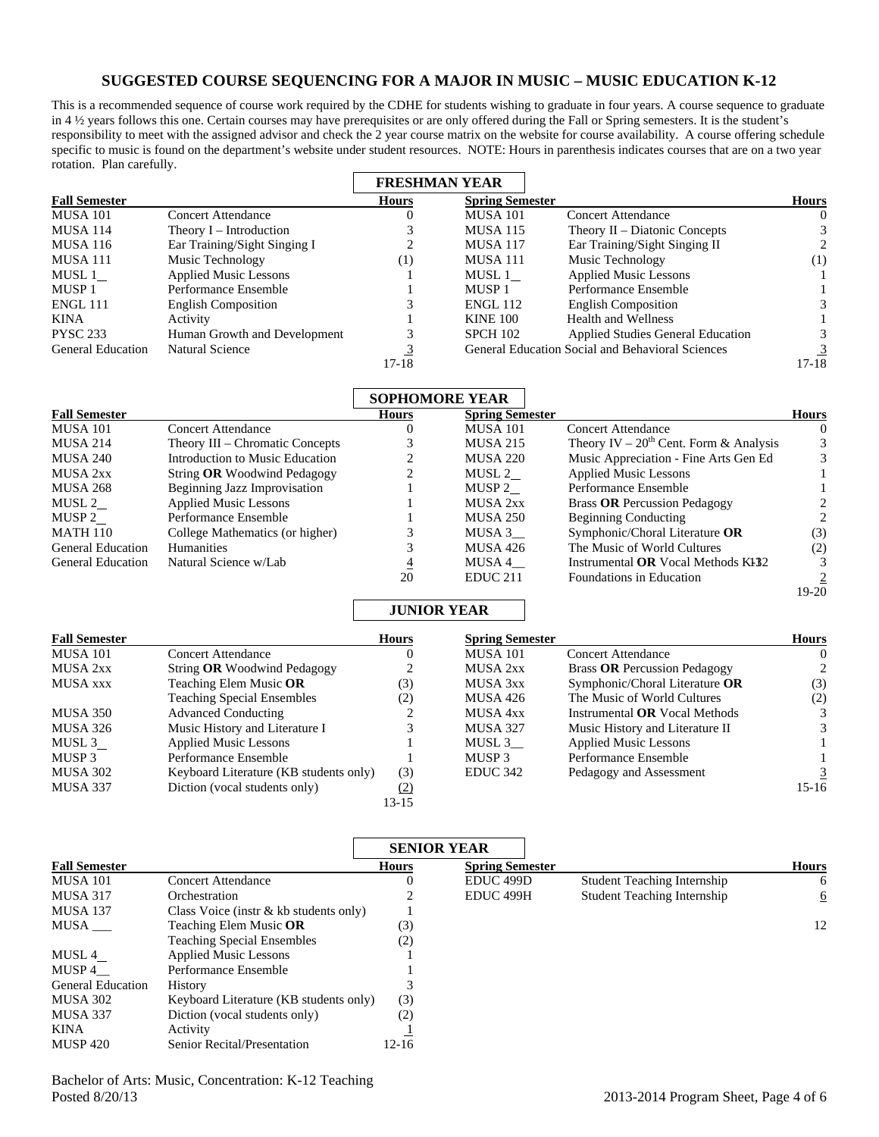## **SUGGESTED COURSE SEQUENCING FOR A MAJOR IN MUSIC – MUSIC EDUCATION K-12**

This is a recommended sequence of course work required by the CDHE for students wishing to graduate in four years. A course sequence to graduate in 4 ½ years follows this one. Certain courses may have prerequisites or are only offered during the Fall or Spring semesters. It is the student's responsibility to meet with the assigned advisor and check the 2 year course matrix on the website for course availability. A course offering schedule specific to music is found on the department's website under student resources. NOTE: Hours in parenthesis indicates courses that are on a two year rotation. Plan carefully.

|                          |                              | <b>FRESHMAN YEAR</b> |                        |                                                  |              |
|--------------------------|------------------------------|----------------------|------------------------|--------------------------------------------------|--------------|
| <b>Fall Semester</b>     |                              | <b>Hours</b>         | <b>Spring Semester</b> |                                                  | <b>Hours</b> |
| <b>MUSA 101</b>          | <b>Concert Attendance</b>    |                      | <b>MUSA 101</b>        | <b>Concert Attendance</b>                        | 0            |
| <b>MUSA 114</b>          | Theory $I$ – Introduction    |                      | <b>MUSA 115</b>        | Theory II – Diatonic Concepts                    |              |
| <b>MUSA 116</b>          | Ear Training/Sight Singing I |                      | <b>MUSA 117</b>        | Ear Training/Sight Singing II                    |              |
| <b>MUSA 111</b>          | Music Technology             | $\left(1\right)$     | <b>MUSA 111</b>        | Music Technology                                 | (1)          |
| MUSL 1                   | <b>Applied Music Lessons</b> |                      | MUSL 1                 | <b>Applied Music Lessons</b>                     |              |
| MUSP <sub>1</sub>        | Performance Ensemble         |                      | MUSP <sub>1</sub>      | Performance Ensemble                             |              |
| ENGL 111                 | <b>English Composition</b>   |                      | <b>ENGL 112</b>        | <b>English Composition</b>                       |              |
| KINA                     | Activity                     |                      | <b>KINE 100</b>        | <b>Health and Wellness</b>                       |              |
| <b>PYSC 233</b>          | Human Growth and Development |                      | <b>SPCH 102</b>        | <b>Applied Studies General Education</b>         |              |
| <b>General Education</b> | <b>Natural Science</b>       |                      |                        | General Education Social and Behavioral Sciences |              |
|                          |                              | $17-18$              |                        |                                                  | 17-18        |

|                          |                                 | <b>SOPHOMORE YEAR</b> |                        |                                             |              |
|--------------------------|---------------------------------|-----------------------|------------------------|---------------------------------------------|--------------|
| <b>Fall Semester</b>     |                                 | <b>Hours</b>          | <b>Spring Semester</b> |                                             | <b>Hours</b> |
| <b>MUSA 101</b>          | <b>Concert Attendance</b>       |                       | <b>MUSA 101</b>        | Concert Attendance                          | 0            |
| <b>MUSA 214</b>          | Theory III – Chromatic Concepts |                       | <b>MUSA 215</b>        | Theory IV – $20^{th}$ Cent. Form & Analysis | 3            |
| <b>MUSA 240</b>          | Introduction to Music Education | ↑                     | <b>MUSA 220</b>        | Music Appreciation - Fine Arts Gen Ed       |              |
| MUSA 2xx                 | String OR Woodwind Pedagogy     | 2                     | MUSL 2                 | <b>Applied Music Lessons</b>                |              |
| <b>MUSA 268</b>          | Beginning Jazz Improvisation    |                       | MUSP 2                 | Performance Ensemble                        |              |
| MUSL 2                   | <b>Applied Music Lessons</b>    |                       | MUSA 2xx               | <b>Brass OR Percussion Pedagogy</b>         |              |
| MUSP 2                   | Performance Ensemble            |                       | <b>MUSA 250</b>        | <b>Beginning Conducting</b>                 |              |
| <b>MATH 110</b>          | College Mathematics (or higher) |                       | MUSA 3                 | Symphonic/Choral Literature OR              | (3)          |
| <b>General Education</b> | <b>Humanities</b>               |                       | <b>MUSA 426</b>        | The Music of World Cultures                 | (2)          |
| <b>General Education</b> | Natural Science w/Lab           | $\overline{4}$        | MUSA 4                 | Instrumental OR Vocal Methods KI32          |              |
|                          |                                 | 20                    | EDUC <sub>211</sub>    | Foundations in Education                    |              |
|                          |                                 |                       |                        |                                             | 19-20        |

### **JUNIOR YEAR**

| <b>Fall Semester</b> |                                        | <b>Hours</b> | <b>Spring Semester</b> |                                      | <b>Hours</b> |
|----------------------|----------------------------------------|--------------|------------------------|--------------------------------------|--------------|
| <b>MUSA 101</b>      | <b>Concert Attendance</b>              | O            | MUSA 101               | Concert Attendance                   | $\Omega$     |
| MUSA 2xx             | String OR Woodwind Pedagogy            | ↑            | MUSA 2xx               | <b>Brass OR Percussion Pedagogy</b>  | 2            |
| <b>MUSA xxx</b>      | Teaching Elem Music OR                 | (3)          | MUSA 3xx               | Symphonic/Choral Literature OR       | (3)          |
|                      | <b>Teaching Special Ensembles</b>      | (2)          | MUSA 426               | The Music of World Cultures          | (2)          |
| MUSA 350             | <b>Advanced Conducting</b>             |              | MUSA 4xx               | Instrumental <b>OR</b> Vocal Methods |              |
| MUSA 326             | Music History and Literature I         |              | <b>MUSA 327</b>        | Music History and Literature II      |              |
| MUSL 3               | <b>Applied Music Lessons</b>           |              | MUSL 3                 | <b>Applied Music Lessons</b>         |              |
| MUSP <sub>3</sub>    | Performance Ensemble                   |              | MUSP <sub>3</sub>      | Performance Ensemble                 |              |
| <b>MUSA 302</b>      | Keyboard Literature (KB students only) | (3)          | EDUC <sub>342</sub>    | Pedagogy and Assessment              |              |
| <b>MUSA 337</b>      | Diction (vocal students only)          | (2)          |                        |                                      | $15-16$      |
|                      |                                        | 13-15        |                        |                                      |              |

|                          |                                          | <b>SENIOR YEAR</b> |                        |                                    |              |
|--------------------------|------------------------------------------|--------------------|------------------------|------------------------------------|--------------|
| <b>Fall Semester</b>     |                                          | <b>Hours</b>       | <b>Spring Semester</b> |                                    | <b>Hours</b> |
| <b>MUSA 101</b>          | <b>Concert Attendance</b>                |                    | EDUC <sub>499</sub> D  | <b>Student Teaching Internship</b> | 6            |
| <b>MUSA 317</b>          | Orchestration                            |                    | EDUC <sub>499H</sub>   | <b>Student Teaching Internship</b> | 6            |
| <b>MUSA 137</b>          | Class Voice (instr $& kb$ students only) |                    |                        |                                    |              |
| MUSA                     | Teaching Elem Music OR                   | (3)                |                        |                                    | 12           |
|                          | <b>Teaching Special Ensembles</b>        | (2)                |                        |                                    |              |
| MUSL 4                   | <b>Applied Music Lessons</b>             |                    |                        |                                    |              |
| MUSP 4                   | Performance Ensemble                     |                    |                        |                                    |              |
| <b>General Education</b> | History                                  |                    |                        |                                    |              |
| <b>MUSA 302</b>          | Keyboard Literature (KB students only)   | (3)                |                        |                                    |              |
| <b>MUSA 337</b>          | Diction (vocal students only)            | (2)                |                        |                                    |              |
| KINA                     | Activity                                 |                    |                        |                                    |              |
| <b>MUSP 420</b>          | Senior Recital/Presentation              | $12 - 16$          |                        |                                    |              |

Bachelor of Arts: Music, Concentration: K-12 Teaching Posted 8/20/13 2013-2014 Program Sheet, Page 4 of 6

19-20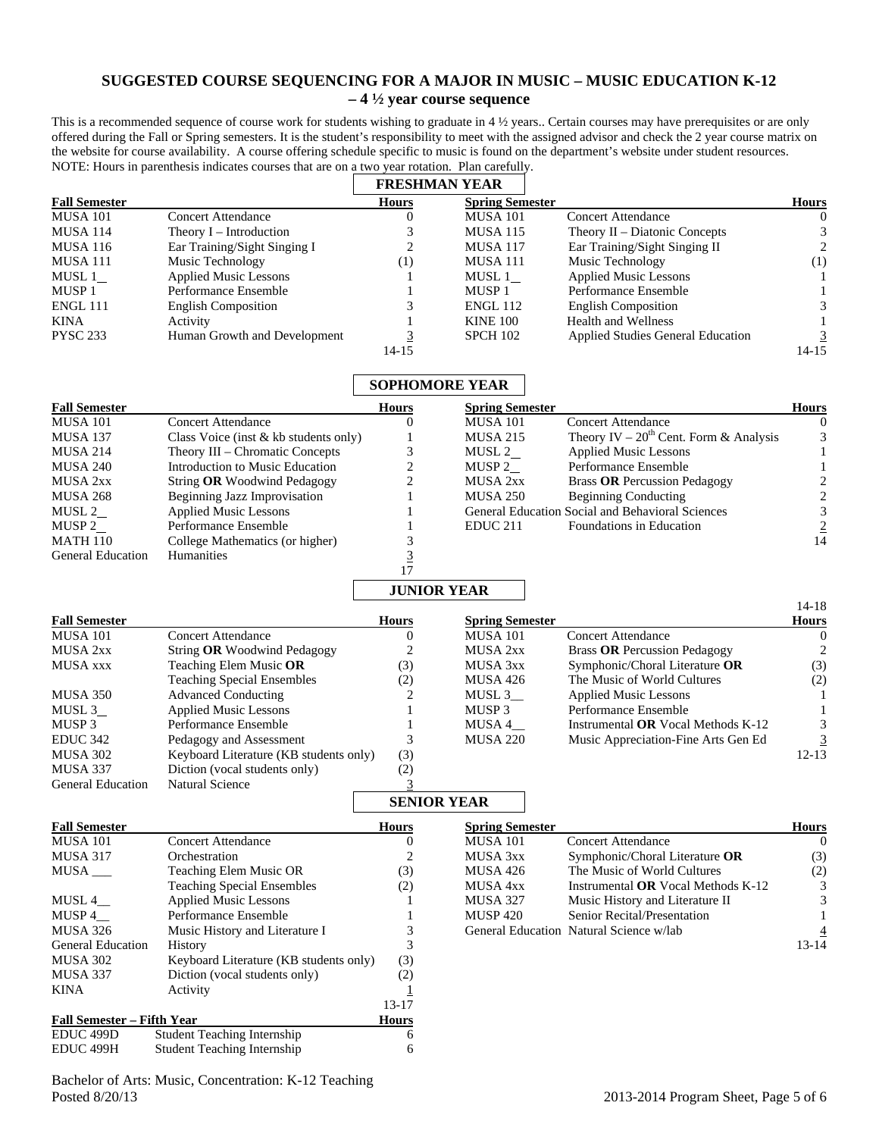# **SUGGESTED COURSE SEQUENCING FOR A MAJOR IN MUSIC – MUSIC EDUCATION K-12 – 4 ½ year course sequence**

This is a recommended sequence of course work for students wishing to graduate in 4 1/2 years.. Certain courses may have prerequisites or are only offered during the Fall or Spring semesters. It is the student's responsibility to meet with the assigned advisor and check the 2 year course matrix on the website for course availability. A course offering schedule specific to music is found on the department's website under student resources. NOTE: Hours in parenthesis indicates courses that are on a two year rotation. Plan carefully.

|                      |                              |                     | <b>FRESHMAN YEAR</b>   |                                          |              |
|----------------------|------------------------------|---------------------|------------------------|------------------------------------------|--------------|
| <b>Fall Semester</b> |                              | <b>Hours</b>        | <b>Spring Semester</b> |                                          | <b>Hours</b> |
| <b>MUSA 101</b>      | <b>Concert Attendance</b>    | 0                   | <b>MUSA 101</b>        | <b>Concert Attendance</b>                | $\theta$     |
| <b>MUSA 114</b>      | Theory $I$ – Introduction    |                     | <b>MUSA 115</b>        | Theory II – Diatonic Concepts            |              |
| <b>MUSA 116</b>      | Ear Training/Sight Singing I |                     | <b>MUSA 117</b>        | Ear Training/Sight Singing II            | 2            |
| <b>MUSA 111</b>      | Music Technology             | $\scriptstyle{(1)}$ | <b>MUSA 111</b>        | Music Technology                         | (1)          |
| MUSL 1               | <b>Applied Music Lessons</b> |                     | MUSL 1                 | <b>Applied Music Lessons</b>             |              |
| MUSP <sub>1</sub>    | Performance Ensemble         |                     | MUSP <sub>1</sub>      | Performance Ensemble                     |              |
| <b>ENGL 111</b>      | <b>English Composition</b>   |                     | <b>ENGL 112</b>        | <b>English Composition</b>               |              |
| KINA                 | Activity                     |                     | <b>KINE 100</b>        | Health and Wellness                      |              |
| <b>PYSC 233</b>      | Human Growth and Development |                     | <b>SPCH 102</b>        | <b>Applied Studies General Education</b> |              |
|                      |                              | 14-15               |                        |                                          | $14 - 15$    |

|                                   |                                                      |                | <b>SOPHOMORE YEAR</b>  |                                                  |                             |
|-----------------------------------|------------------------------------------------------|----------------|------------------------|--------------------------------------------------|-----------------------------|
| <b>Fall Semester</b>              |                                                      | <b>Hours</b>   | <b>Spring Semester</b> |                                                  | <b>Hours</b>                |
| <b>MUSA 101</b>                   | <b>Concert Attendance</b>                            | $\mathbf{0}$   | <b>MUSA 101</b>        | <b>Concert Attendance</b>                        | $\Omega$                    |
| <b>MUSA 137</b>                   | Class Voice (inst & kb students only)                | 1              | <b>MUSA 215</b>        | Theory IV – $20^{th}$ Cent. Form & Analysis      | $\ensuremath{\mathfrak{Z}}$ |
| <b>MUSA 214</b>                   | Theory III - Chromatic Concepts                      | 3              | MUSL 2                 | <b>Applied Music Lessons</b>                     | $\mathbf{1}$                |
| <b>MUSA 240</b>                   | Introduction to Music Education                      | 2              | MUSP $2$               | Performance Ensemble                             | $\mathbf{1}$                |
| MUSA 2xx                          | String OR Woodwind Pedagogy                          | 2              | <b>MUSA 2xx</b>        | <b>Brass OR Percussion Pedagogy</b>              | $\sqrt{2}$                  |
| <b>MUSA 268</b>                   | <b>Beginning Jazz Improvisation</b>                  | 1              | <b>MUSA 250</b>        | <b>Beginning Conducting</b>                      | $\overline{c}$              |
| MUSL $2$                          | <b>Applied Music Lessons</b>                         |                |                        | General Education Social and Behavioral Sciences | $\mathfrak{Z}$              |
| MUSP $2$                          | Performance Ensemble                                 |                | EDUC <sub>211</sub>    | Foundations in Education                         | $\overline{2}$              |
| <b>MATH 110</b>                   | College Mathematics (or higher)                      | 3              |                        |                                                  | 14                          |
| <b>General Education</b>          | Humanities                                           | $\overline{3}$ |                        |                                                  |                             |
|                                   |                                                      | 17             |                        |                                                  |                             |
|                                   |                                                      |                | <b>JUNIOR YEAR</b>     |                                                  |                             |
| <b>Fall Semester</b>              |                                                      | <b>Hours</b>   | <b>Spring Semester</b> |                                                  | $14-18$<br><b>Hours</b>     |
| <b>MUSA 101</b>                   | <b>Concert Attendance</b>                            | $\overline{0}$ | <b>MUSA 101</b>        | <b>Concert Attendance</b>                        | $\overline{0}$              |
| MUSA 2xx                          | String OR Woodwind Pedagogy                          | 2              | MUSA 2xx               | <b>Brass OR Percussion Pedagogy</b>              | $\mathbf{2}$                |
| <b>MUSA xxx</b>                   | Teaching Elem Music OR                               | (3)            | MUSA 3xx               | Symphonic/Choral Literature OR                   | (3)                         |
|                                   | <b>Teaching Special Ensembles</b>                    | (2)            | <b>MUSA 426</b>        | The Music of World Cultures                      | (2)                         |
| <b>MUSA 350</b>                   | <b>Advanced Conducting</b>                           | 2              | MUSL 3                 |                                                  | 1                           |
|                                   |                                                      |                |                        | <b>Applied Music Lessons</b>                     |                             |
| MUSL $3$                          | <b>Applied Music Lessons</b><br>Performance Ensemble | 1              | MUSP <sub>3</sub>      | Performance Ensemble                             | 1                           |
| MUSP 3                            |                                                      | 1              | MUSA 4_                | Instrumental <b>OR</b> Vocal Methods K-12        | $\mathfrak{Z}$              |
| <b>EDUC 342</b>                   | Pedagogy and Assessment                              | 3              | <b>MUSA 220</b>        | Music Appreciation-Fine Arts Gen Ed              | 3                           |
| <b>MUSA 302</b>                   | Keyboard Literature (KB students only)               | (3)            |                        |                                                  | $12-13$                     |
| MUSA 337                          | Diction (vocal students only)                        | (2)            |                        |                                                  |                             |
| <b>General Education</b>          | <b>Natural Science</b>                               | 3              |                        |                                                  |                             |
|                                   |                                                      |                | <b>SENIOR YEAR</b>     |                                                  |                             |
| <b>Fall Semester</b>              |                                                      | <b>Hours</b>   | <b>Spring Semester</b> |                                                  | <b>Hours</b>                |
| <b>MUSA 101</b>                   | <b>Concert Attendance</b>                            | $\overline{0}$ | <b>MUSA 101</b>        | Concert Attendance                               | $\overline{0}$              |
| <b>MUSA 317</b>                   | Orchestration                                        | 2              | MUSA 3xx               | Symphonic/Choral Literature OR                   | (3)                         |
| $MUSA$ <sub>___</sub>             | Teaching Elem Music OR                               | (3)            | <b>MUSA 426</b>        | The Music of World Cultures                      | (2)                         |
|                                   | <b>Teaching Special Ensembles</b>                    | (2)            | MUSA 4xx               | Instrumental OR Vocal Methods K-12               | 3                           |
| $MUSL$ 4 $\_$                     | <b>Applied Music Lessons</b>                         | 1              | <b>MUSA 327</b>        | Music History and Literature II                  | 3                           |
| $MUSP$ 4_                         | Performance Ensemble                                 | 1              | <b>MUSP 420</b>        | Senior Recital/Presentation                      | $\mathbf{1}$                |
| <b>MUSA 326</b>                   | Music History and Literature I                       | 3              |                        | General Education Natural Science w/lab          |                             |
| <b>General Education</b>          | History                                              | 3              |                        |                                                  | $13 - 14$                   |
| MUSA 302                          | Keyboard Literature (KB students only)               | (3)            |                        |                                                  |                             |
| <b>MUSA 337</b>                   | Diction (vocal students only)                        | (2)            |                        |                                                  |                             |
| KINA                              | Activity                                             | 1              |                        |                                                  |                             |
|                                   |                                                      | 13-17          |                        |                                                  |                             |
| <b>Fall Semester - Fifth Year</b> |                                                      | <b>Hours</b>   |                        |                                                  |                             |

Bachelor of Arts: Music, Concentration: K-12 Teaching Posted 8/20/13 2013-2014 Program Sheet, Page 5 of 6

EDUC 499D Student Teaching Internship 6 EDUC 499H Student Teaching Internship 6